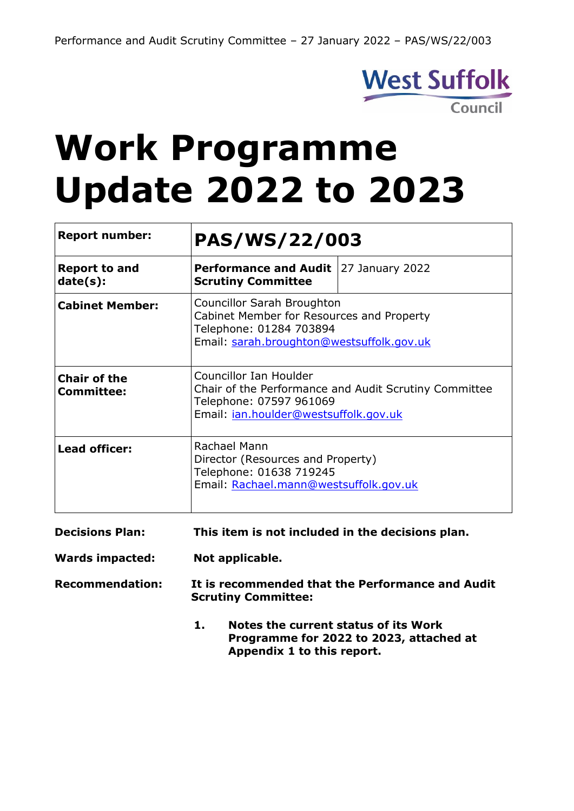

# **Work Programme Update 2022 to 2023**

| <b>Report number:</b>                    | <b>PAS/WS/22/003</b>                                                                                                                                |                 |
|------------------------------------------|-----------------------------------------------------------------------------------------------------------------------------------------------------|-----------------|
| <b>Report to and</b><br>date(s):         | <b>Performance and Audit</b><br><b>Scrutiny Committee</b>                                                                                           | 27 January 2022 |
| <b>Cabinet Member:</b>                   | Councillor Sarah Broughton<br>Cabinet Member for Resources and Property<br>Telephone: 01284 703894<br>Email: sarah.broughton@westsuffolk.gov.uk     |                 |
| <b>Chair of the</b><br><b>Committee:</b> | Councillor Ian Houlder<br>Chair of the Performance and Audit Scrutiny Committee<br>Telephone: 07597 961069<br>Email: jan.houlder@westsuffolk.gov.uk |                 |
| <b>Lead officer:</b>                     | Rachael Mann<br>Director (Resources and Property)<br>Telephone: 01638 719245<br>Email: Rachael.mann@westsuffolk.gov.uk                              |                 |
| <b>Decisions Plan:</b>                   | This item is not included in the decisions plan.                                                                                                    |                 |

**Wards impacted: Not applicable.**

**Recommendation: It is recommended that the Performance and Audit Scrutiny Committee:**

> **1. Notes the current status of its Work Programme for 2022 to 2023, attached at Appendix 1 to this report.**